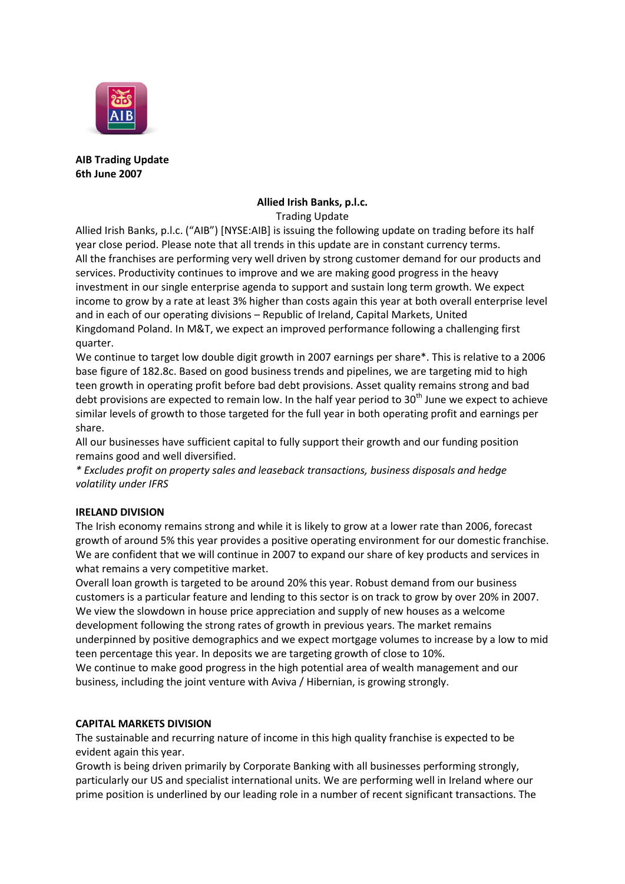

**AIB Trading Update 6th June 2007**

### **Allied Irish Banks, p.l.c.** Trading Update

Allied Irish Banks, p.l.c. ("AIB") [NYSE:AIB] is issuing the following update on trading before its half year close period. Please note that all trends in this update are in constant currency terms. All the franchises are performing very well driven by strong customer demand for our products and services. Productivity continues to improve and we are making good progress in the heavy investment in our single enterprise agenda to support and sustain long term growth. We expect income to grow by a rate at least 3% higher than costs again this year at both overall enterprise level and in each of our operating divisions – Republic of Ireland, Capital Markets, United Kingdomand Poland. In M&T, we expect an improved performance following a challenging first quarter.

We continue to target low double digit growth in 2007 earnings per share\*. This is relative to a 2006 base figure of 182.8c. Based on good business trends and pipelines, we are targeting mid to high teen growth in operating profit before bad debt provisions. Asset quality remains strong and bad debt provisions are expected to remain low. In the half year period to  $30<sup>th</sup>$  June we expect to achieve similar levels of growth to those targeted for the full year in both operating profit and earnings per share.

All our businesses have sufficient capital to fully support their growth and our funding position remains good and well diversified.

*\* Excludes profit on property sales and leaseback transactions, business disposals and hedge volatility under IFRS*

# **IRELAND DIVISION**

The Irish economy remains strong and while it is likely to grow at a lower rate than 2006, forecast growth of around 5% this year provides a positive operating environment for our domestic franchise. We are confident that we will continue in 2007 to expand our share of key products and services in what remains a very competitive market.

Overall loan growth is targeted to be around 20% this year. Robust demand from our business customers is a particular feature and lending to this sector is on track to grow by over 20% in 2007. We view the slowdown in house price appreciation and supply of new houses as a welcome development following the strong rates of growth in previous years. The market remains underpinned by positive demographics and we expect mortgage volumes to increase by a low to mid teen percentage this year. In deposits we are targeting growth of close to 10%.

We continue to make good progress in the high potential area of wealth management and our business, including the joint venture with Aviva / Hibernian, is growing strongly.

#### **CAPITAL MARKETS DIVISION**

The sustainable and recurring nature of income in this high quality franchise is expected to be evident again this year.

Growth is being driven primarily by Corporate Banking with all businesses performing strongly, particularly our US and specialist international units. We are performing well in Ireland where our prime position is underlined by our leading role in a number of recent significant transactions. The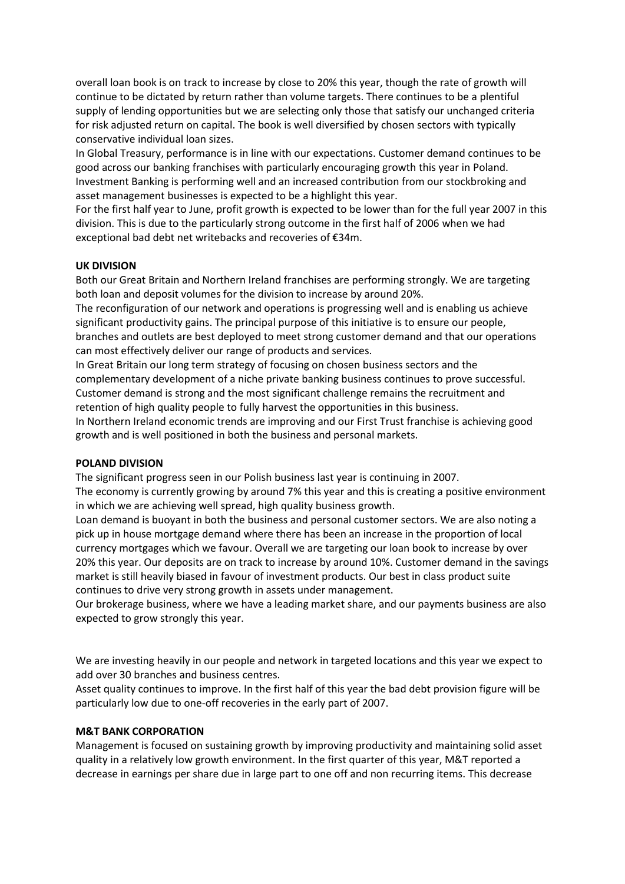overall loan book is on track to increase by close to 20% this year, though the rate of growth will continue to be dictated by return rather than volume targets. There continues to be a plentiful supply of lending opportunities but we are selecting only those that satisfy our unchanged criteria for risk adjusted return on capital. The book is well diversified by chosen sectors with typically conservative individual loan sizes.

In Global Treasury, performance is in line with our expectations. Customer demand continues to be good across our banking franchises with particularly encouraging growth this year in Poland. Investment Banking is performing well and an increased contribution from our stockbroking and asset management businesses is expected to be a highlight this year.

For the first half year to June, profit growth is expected to be lower than for the full year 2007 in this division. This is due to the particularly strong outcome in the first half of 2006 when we had exceptional bad debt net writebacks and recoveries of €34m.

#### **UK DIVISION**

Both our Great Britain and Northern Ireland franchises are performing strongly. We are targeting both loan and deposit volumes for the division to increase by around 20%.

The reconfiguration of our network and operations is progressing well and is enabling us achieve significant productivity gains. The principal purpose of this initiative is to ensure our people, branches and outlets are best deployed to meet strong customer demand and that our operations can most effectively deliver our range of products and services.

In Great Britain our long term strategy of focusing on chosen business sectors and the complementary development of a niche private banking business continues to prove successful. Customer demand is strong and the most significant challenge remains the recruitment and retention of high quality people to fully harvest the opportunities in this business. In Northern Ireland economic trends are improving and our First Trust franchise is achieving good growth and is well positioned in both the business and personal markets.

# **POLAND DIVISION**

The significant progress seen in our Polish business last year is continuing in 2007.

The economy is currently growing by around 7% this year and this is creating a positive environment in which we are achieving well spread, high quality business growth.

Loan demand is buoyant in both the business and personal customer sectors. We are also noting a pick up in house mortgage demand where there has been an increase in the proportion of local currency mortgages which we favour. Overall we are targeting our loan book to increase by over 20% this year. Our deposits are on track to increase by around 10%. Customer demand in the savings market is still heavily biased in favour of investment products. Our best in class product suite continues to drive very strong growth in assets under management.

Our brokerage business, where we have a leading market share, and our payments business are also expected to grow strongly this year.

We are investing heavily in our people and network in targeted locations and this year we expect to add over 30 branches and business centres.

Asset quality continues to improve. In the first half of this year the bad debt provision figure will be particularly low due to one-off recoveries in the early part of 2007.

#### **M&T BANK CORPORATION**

Management is focused on sustaining growth by improving productivity and maintaining solid asset quality in a relatively low growth environment. In the first quarter of this year, M&T reported a decrease in earnings per share due in large part to one off and non recurring items. This decrease